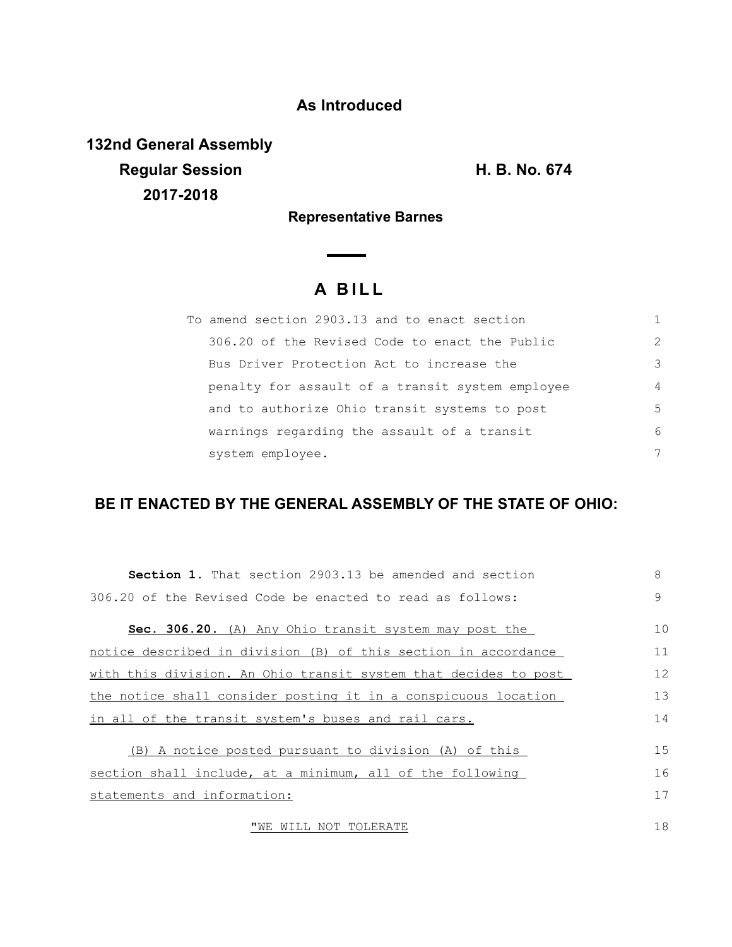## **As Introduced**

**132nd General Assembly Regular Session H. B. No. 674 2017-2018**

**Representative Barnes**

# **A B I L L**

| To amend section 2903.13 and to enact section    |                |
|--------------------------------------------------|----------------|
| 306.20 of the Revised Code to enact the Public   | $\mathcal{L}$  |
| Bus Driver Protection Act to increase the        | 3              |
| penalty for assault of a transit system employee | $\overline{4}$ |
| and to authorize Ohio transit systems to post    | 5              |
| warnings regarding the assault of a transit      | 6              |
| system employee.                                 | 7              |

## **BE IT ENACTED BY THE GENERAL ASSEMBLY OF THE STATE OF OHIO:**

| <b>Section 1.</b> That section 2903.13 be amended and section   | 8  |
|-----------------------------------------------------------------|----|
| 306.20 of the Revised Code be enacted to read as follows:       | 9  |
|                                                                 |    |
| Sec. 306.20. (A) Any Ohio transit system may post the           | 10 |
| notice described in division (B) of this section in accordance  | 11 |
| with this division. An Ohio transit system that decides to post | 12 |
| the notice shall consider posting it in a conspicuous location  | 13 |
| in all of the transit system's buses and rail cars.             | 14 |
| (B) A notice posted pursuant to division (A) of this            | 15 |
|                                                                 |    |
| section shall include, at a minimum, all of the following       | 16 |
| statements and information:                                     | 17 |
| "WE WILL NOT TOLERATE                                           | 18 |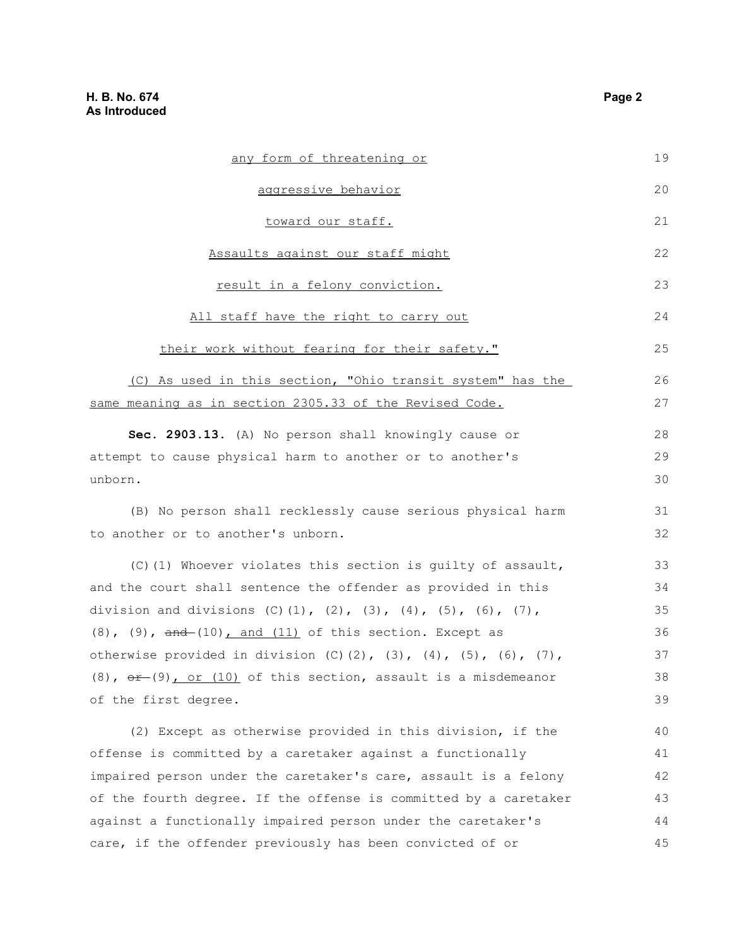| any form of threatening or                                                 | 19 |
|----------------------------------------------------------------------------|----|
| aggressive behavior                                                        | 20 |
| toward our staff.                                                          | 21 |
| Assaults against our staff might                                           | 22 |
| result in a felony conviction.                                             | 23 |
| All staff have the right to carry out                                      | 24 |
| their work without fearing for their safety."                              | 25 |
| (C) As used in this section, "Ohio transit system" has the                 | 26 |
| same meaning as in section 2305.33 of the Revised Code.                    | 27 |
| Sec. 2903.13. (A) No person shall knowingly cause or                       | 28 |
| attempt to cause physical harm to another or to another's                  | 29 |
| unborn.                                                                    | 30 |
| (B) No person shall recklessly cause serious physical harm                 | 31 |
| to another or to another's unborn.                                         | 32 |
| (C)(1) Whoever violates this section is quilty of assault,                 | 33 |
| and the court shall sentence the offender as provided in this              | 34 |
| division and divisions (C)(1), (2), (3), (4), (5), (6), (7),               | 35 |
| $(8)$ , $(9)$ , $\frac{and}{(10)}$ and $(11)$ of this section. Except as   | 36 |
| otherwise provided in division (C)(2), (3), (4), (5), (6), (7),            | 37 |
| $(8)$ , $\theta$ $(9)$ or $(10)$ of this section, assault is a misdemeanor | 38 |
| of the first degree.                                                       | 39 |
| (2) Except as otherwise provided in this division, if the                  | 40 |
| offense is committed by a caretaker against a functionally                 | 41 |
| impaired person under the caretaker's care, assault is a felony            | 42 |
| of the fourth degree. If the offense is committed by a caretaker           | 43 |
| against a functionally impaired person under the caretaker's               | 44 |
| care, if the offender previously has been convicted of or                  | 45 |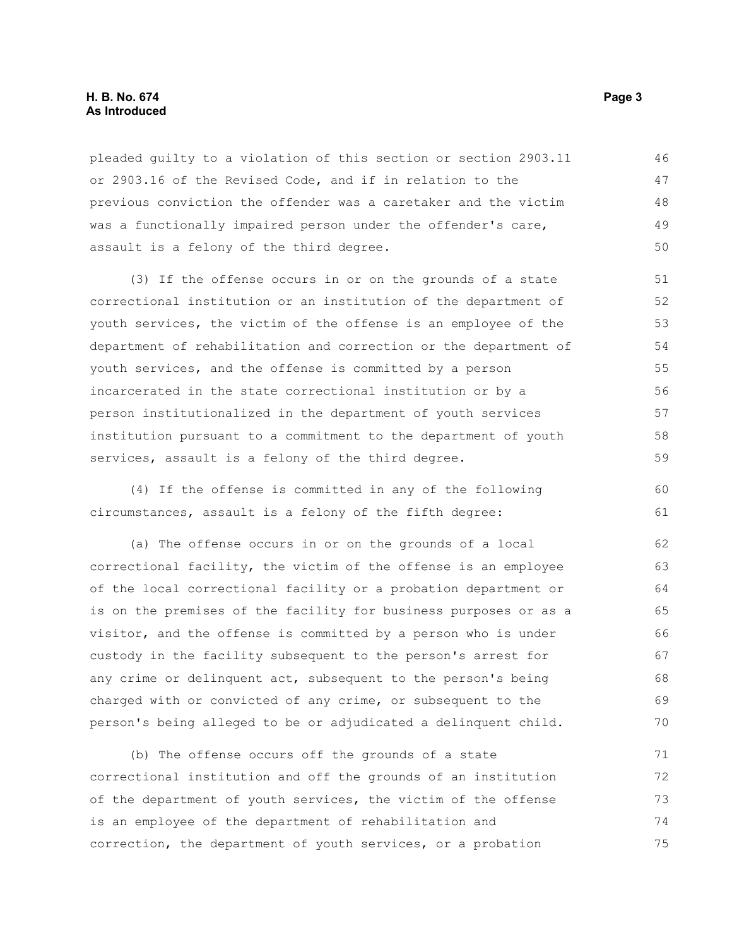#### **H. B. No. 674 Page 3 As Introduced**

pleaded guilty to a violation of this section or section 2903.11 or 2903.16 of the Revised Code, and if in relation to the previous conviction the offender was a caretaker and the victim was a functionally impaired person under the offender's care, assault is a felony of the third degree. 46 47 48 49 50

(3) If the offense occurs in or on the grounds of a state correctional institution or an institution of the department of youth services, the victim of the offense is an employee of the department of rehabilitation and correction or the department of youth services, and the offense is committed by a person incarcerated in the state correctional institution or by a person institutionalized in the department of youth services institution pursuant to a commitment to the department of youth services, assault is a felony of the third degree.

(4) If the offense is committed in any of the following circumstances, assault is a felony of the fifth degree:

(a) The offense occurs in or on the grounds of a local correctional facility, the victim of the offense is an employee of the local correctional facility or a probation department or is on the premises of the facility for business purposes or as a visitor, and the offense is committed by a person who is under custody in the facility subsequent to the person's arrest for any crime or delinquent act, subsequent to the person's being charged with or convicted of any crime, or subsequent to the person's being alleged to be or adjudicated a delinquent child. 62 63 64 65 66 67 68 69 70

(b) The offense occurs off the grounds of a state correctional institution and off the grounds of an institution of the department of youth services, the victim of the offense is an employee of the department of rehabilitation and correction, the department of youth services, or a probation 71 72 73 74 75

60 61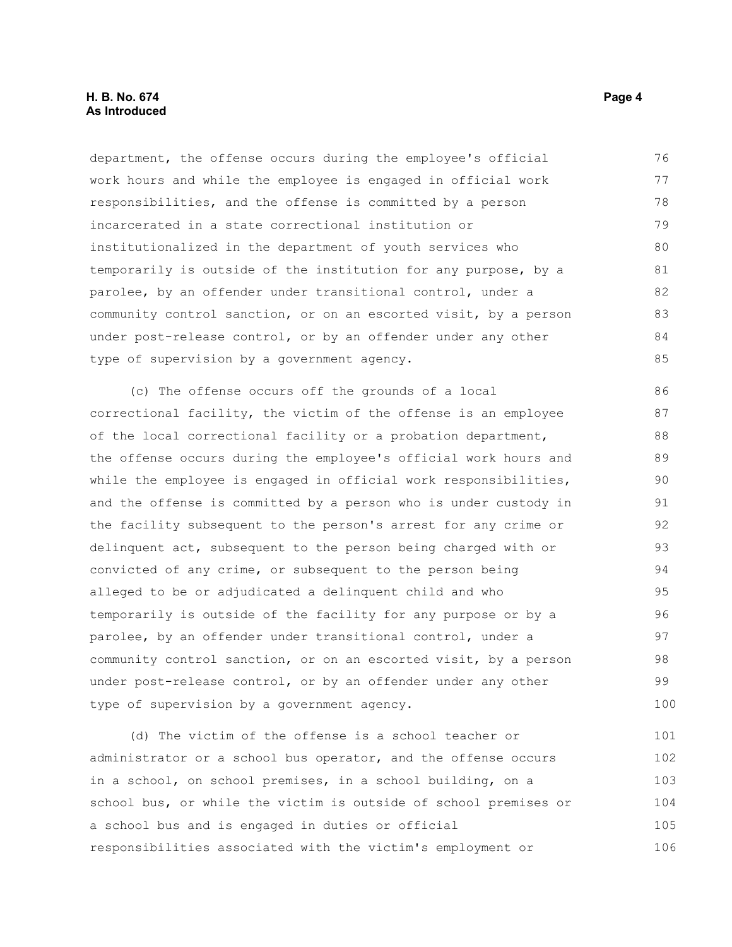department, the offense occurs during the employee's official work hours and while the employee is engaged in official work responsibilities, and the offense is committed by a person incarcerated in a state correctional institution or institutionalized in the department of youth services who temporarily is outside of the institution for any purpose, by a parolee, by an offender under transitional control, under a community control sanction, or on an escorted visit, by a person under post-release control, or by an offender under any other type of supervision by a government agency. 76 77 78 79 80 81 82 83 84 85

(c) The offense occurs off the grounds of a local correctional facility, the victim of the offense is an employee of the local correctional facility or a probation department, the offense occurs during the employee's official work hours and while the employee is engaged in official work responsibilities, and the offense is committed by a person who is under custody in the facility subsequent to the person's arrest for any crime or delinquent act, subsequent to the person being charged with or convicted of any crime, or subsequent to the person being alleged to be or adjudicated a delinquent child and who temporarily is outside of the facility for any purpose or by a parolee, by an offender under transitional control, under a community control sanction, or on an escorted visit, by a person under post-release control, or by an offender under any other type of supervision by a government agency. 86 87 88 89 90 91 92 93 94 95 96 97 98 99 100

(d) The victim of the offense is a school teacher or administrator or a school bus operator, and the offense occurs in a school, on school premises, in a school building, on a school bus, or while the victim is outside of school premises or a school bus and is engaged in duties or official responsibilities associated with the victim's employment or 101 102 103 104 105 106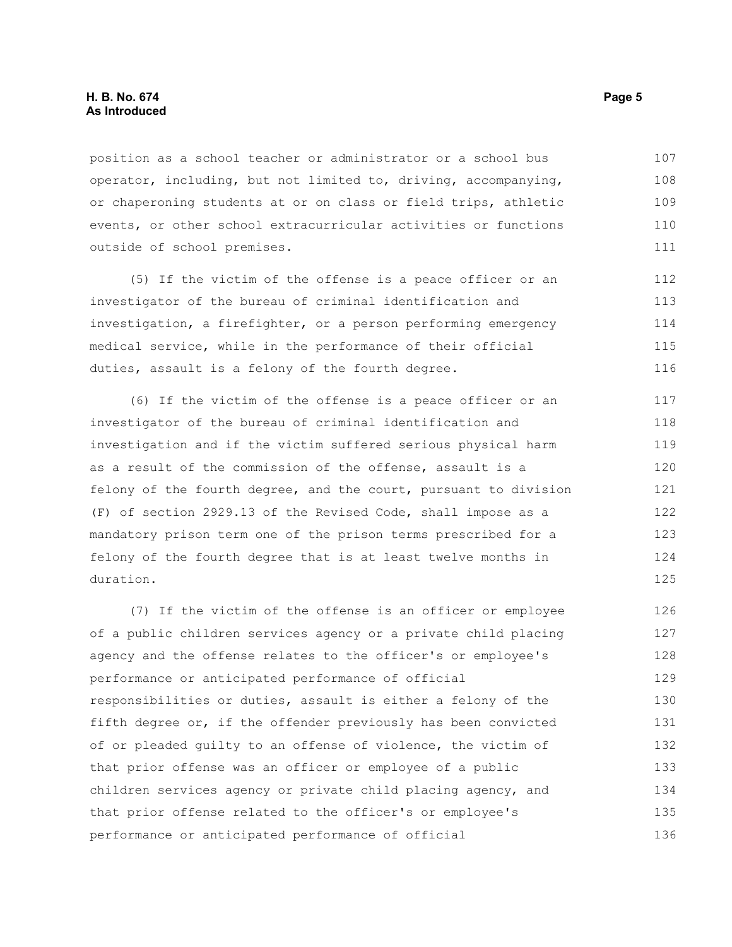position as a school teacher or administrator or a school bus operator, including, but not limited to, driving, accompanying, or chaperoning students at or on class or field trips, athletic events, or other school extracurricular activities or functions outside of school premises. 107 108 109 110 111

(5) If the victim of the offense is a peace officer or an investigator of the bureau of criminal identification and investigation, a firefighter, or a person performing emergency medical service, while in the performance of their official duties, assault is a felony of the fourth degree. 112 113 114 115 116

(6) If the victim of the offense is a peace officer or an investigator of the bureau of criminal identification and investigation and if the victim suffered serious physical harm as a result of the commission of the offense, assault is a felony of the fourth degree, and the court, pursuant to division (F) of section 2929.13 of the Revised Code, shall impose as a mandatory prison term one of the prison terms prescribed for a felony of the fourth degree that is at least twelve months in duration. 117 118 119 120 121 122 123 124 125

(7) If the victim of the offense is an officer or employee of a public children services agency or a private child placing agency and the offense relates to the officer's or employee's performance or anticipated performance of official responsibilities or duties, assault is either a felony of the fifth degree or, if the offender previously has been convicted of or pleaded guilty to an offense of violence, the victim of that prior offense was an officer or employee of a public children services agency or private child placing agency, and that prior offense related to the officer's or employee's performance or anticipated performance of official 126 127 128 129 130 131 132 133 134 135 136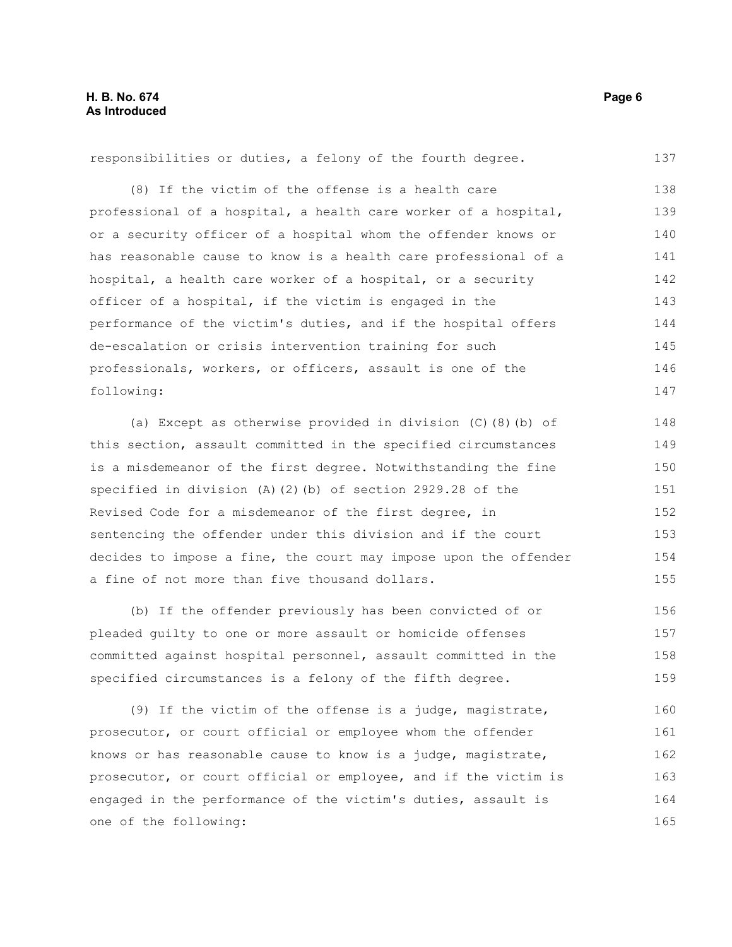responsibilities or duties, a felony of the fourth degree. 137

(8) If the victim of the offense is a health care professional of a hospital, a health care worker of a hospital, or a security officer of a hospital whom the offender knows or has reasonable cause to know is a health care professional of a hospital, a health care worker of a hospital, or a security officer of a hospital, if the victim is engaged in the performance of the victim's duties, and if the hospital offers de-escalation or crisis intervention training for such professionals, workers, or officers, assault is one of the following: 138 139 140 141 142 143 144 145 146 147

(a) Except as otherwise provided in division (C)(8)(b) of this section, assault committed in the specified circumstances is a misdemeanor of the first degree. Notwithstanding the fine specified in division (A)(2)(b) of section 2929.28 of the Revised Code for a misdemeanor of the first degree, in sentencing the offender under this division and if the court decides to impose a fine, the court may impose upon the offender a fine of not more than five thousand dollars. 148 149 150 151 152 153 154 155

(b) If the offender previously has been convicted of or pleaded guilty to one or more assault or homicide offenses committed against hospital personnel, assault committed in the specified circumstances is a felony of the fifth degree. 156 157 158 159

(9) If the victim of the offense is a judge, magistrate, prosecutor, or court official or employee whom the offender knows or has reasonable cause to know is a judge, magistrate, prosecutor, or court official or employee, and if the victim is engaged in the performance of the victim's duties, assault is one of the following: 160 161 162 163 164 165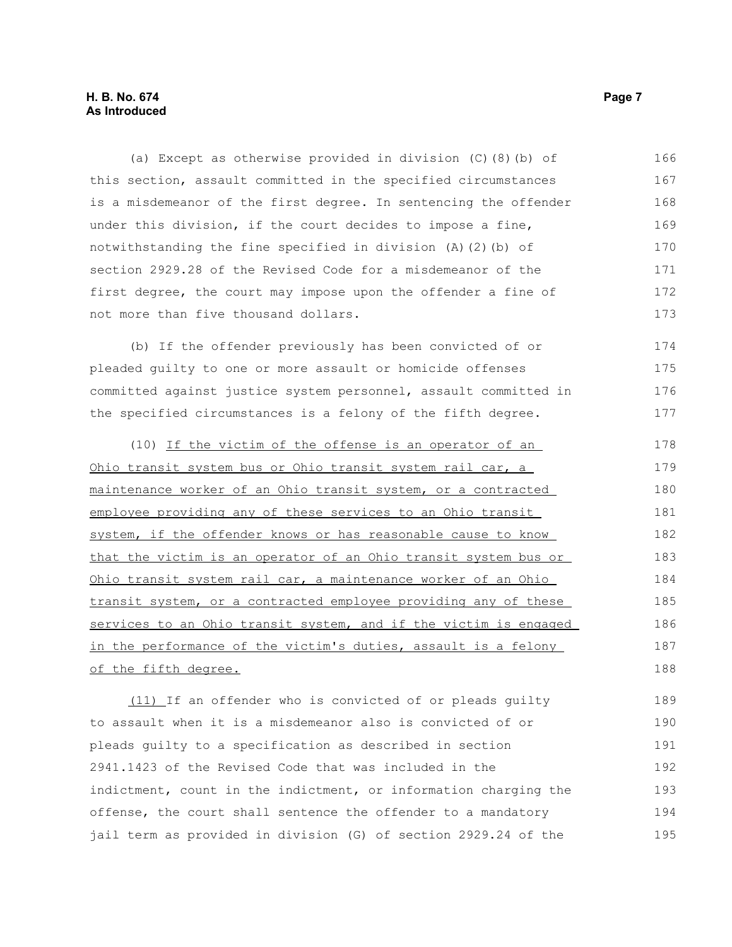(a) Except as otherwise provided in division (C)(8)(b) of this section, assault committed in the specified circumstances is a misdemeanor of the first degree. In sentencing the offender under this division, if the court decides to impose a fine, notwithstanding the fine specified in division (A)(2)(b) of section 2929.28 of the Revised Code for a misdemeanor of the first degree, the court may impose upon the offender a fine of not more than five thousand dollars. 166 167 168 169 170 171 172 173

(b) If the offender previously has been convicted of or pleaded guilty to one or more assault or homicide offenses committed against justice system personnel, assault committed in the specified circumstances is a felony of the fifth degree. 174 175 176 177

(10) If the victim of the offense is an operator of an Ohio transit system bus or Ohio transit system rail car, a maintenance worker of an Ohio transit system, or a contracted employee providing any of these services to an Ohio transit system, if the offender knows or has reasonable cause to know that the victim is an operator of an Ohio transit system bus or Ohio transit system rail car, a maintenance worker of an Ohio transit system, or a contracted employee providing any of these services to an Ohio transit system, and if the victim is engaged in the performance of the victim's duties, assault is a felony of the fifth degree. 178 179 180 181 182 183 184 185 186 187 188

(11) If an offender who is convicted of or pleads guilty to assault when it is a misdemeanor also is convicted of or pleads guilty to a specification as described in section 2941.1423 of the Revised Code that was included in the indictment, count in the indictment, or information charging the offense, the court shall sentence the offender to a mandatory jail term as provided in division (G) of section 2929.24 of the 189 190 191 192 193 194 195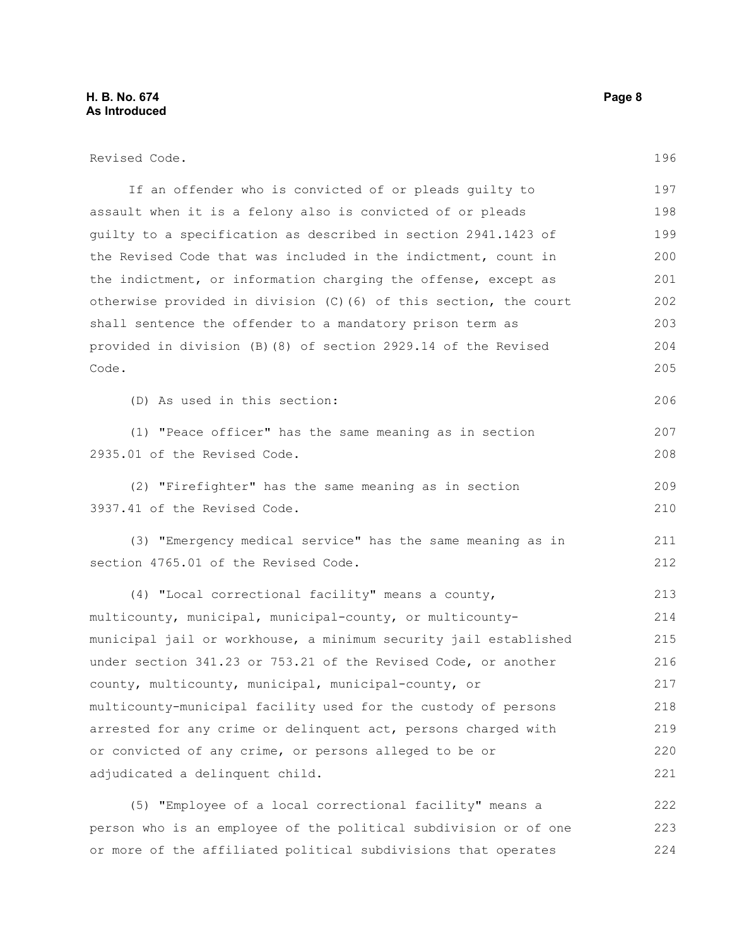### **H. B. No. 674 Page 8 As Introduced**

| Revised Code.                                                     | 196 |
|-------------------------------------------------------------------|-----|
| If an offender who is convicted of or pleads guilty to            | 197 |
| assault when it is a felony also is convicted of or pleads        | 198 |
| guilty to a specification as described in section 2941.1423 of    | 199 |
| the Revised Code that was included in the indictment, count in    | 200 |
| the indictment, or information charging the offense, except as    | 201 |
| otherwise provided in division (C) (6) of this section, the court | 202 |
| shall sentence the offender to a mandatory prison term as         | 203 |
| provided in division (B)(8) of section 2929.14 of the Revised     | 204 |
| Code.                                                             | 205 |
| (D) As used in this section:                                      | 206 |
| (1) "Peace officer" has the same meaning as in section            | 207 |
| 2935.01 of the Revised Code.                                      | 208 |
| (2) "Firefighter" has the same meaning as in section              | 209 |
| 3937.41 of the Revised Code.                                      | 210 |
| (3) "Emergency medical service" has the same meaning as in        | 211 |
| section 4765.01 of the Revised Code.                              | 212 |
| (4) "Local correctional facility" means a county,                 | 213 |
| multicounty, municipal, municipal-county, or multicounty-         | 214 |
| municipal jail or workhouse, a minimum security jail established  | 215 |
| under section 341.23 or 753.21 of the Revised Code, or another    | 216 |
| county, multicounty, municipal, municipal-county, or              | 217 |
| multicounty-municipal facility used for the custody of persons    | 218 |
| arrested for any crime or delinquent act, persons charged with    | 219 |
| or convicted of any crime, or persons alleged to be or            | 220 |
| adjudicated a delinquent child.                                   | 221 |
| (5) "Employee of a local correctional facility" means a           | 222 |

person who is an employee of the political subdivision or of one or more of the affiliated political subdivisions that operates 223 224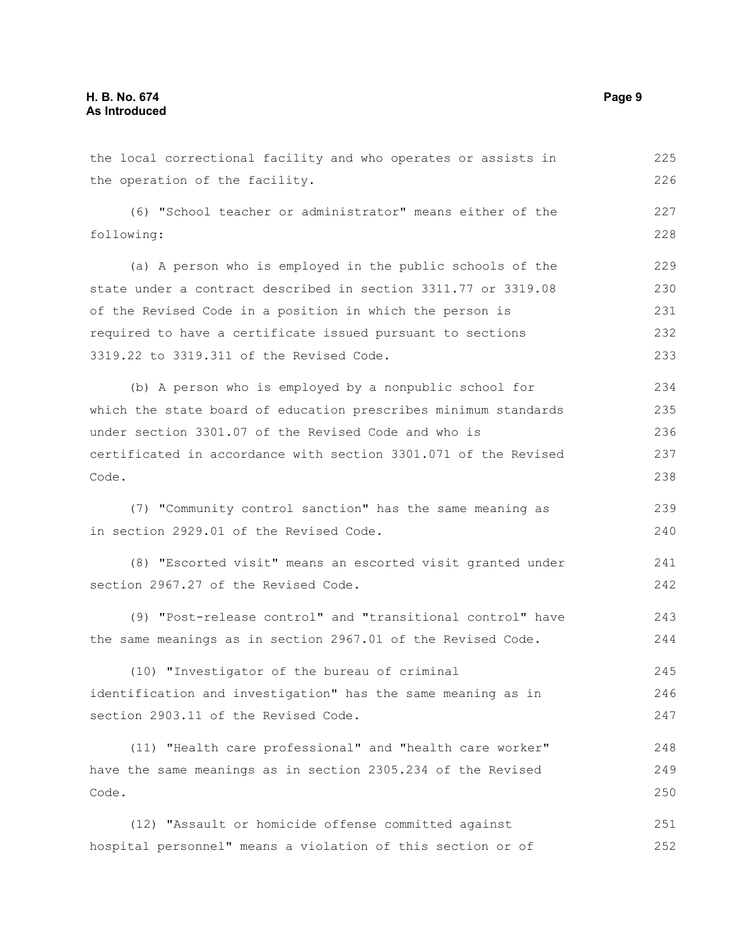| the local correctional facility and who operates or assists in  | 225 |
|-----------------------------------------------------------------|-----|
| the operation of the facility.                                  | 226 |
| (6) "School teacher or administrator" means either of the       | 227 |
| following:                                                      |     |
| (a) A person who is employed in the public schools of the       | 229 |
| state under a contract described in section 3311.77 or 3319.08  | 230 |
| of the Revised Code in a position in which the person is        | 231 |
| required to have a certificate issued pursuant to sections      | 232 |
| 3319.22 to 3319.311 of the Revised Code.                        |     |
| (b) A person who is employed by a nonpublic school for          | 234 |
| which the state board of education prescribes minimum standards | 235 |
| under section 3301.07 of the Revised Code and who is            | 236 |
| certificated in accordance with section 3301.071 of the Revised | 237 |
| Code.                                                           | 238 |
| (7) "Community control sanction" has the same meaning as        | 239 |
| in section 2929.01 of the Revised Code.                         | 240 |
| (8) "Escorted visit" means an escorted visit granted under      | 241 |
| section 2967.27 of the Revised Code.                            | 242 |
| (9) "Post-release control" and "transitional control" have      | 243 |
| the same meanings as in section 2967.01 of the Revised Code.    | 244 |
| (10) "Investigator of the bureau of criminal                    | 245 |
| identification and investigation" has the same meaning as in    | 246 |
| section 2903.11 of the Revised Code.                            | 247 |
| (11) "Health care professional" and "health care worker"        | 248 |
| have the same meanings as in section 2305.234 of the Revised    | 249 |
| Code.                                                           | 250 |
| (12) "Assault or homicide offense committed against             | 251 |
| hospital personnel" means a violation of this section or of     | 252 |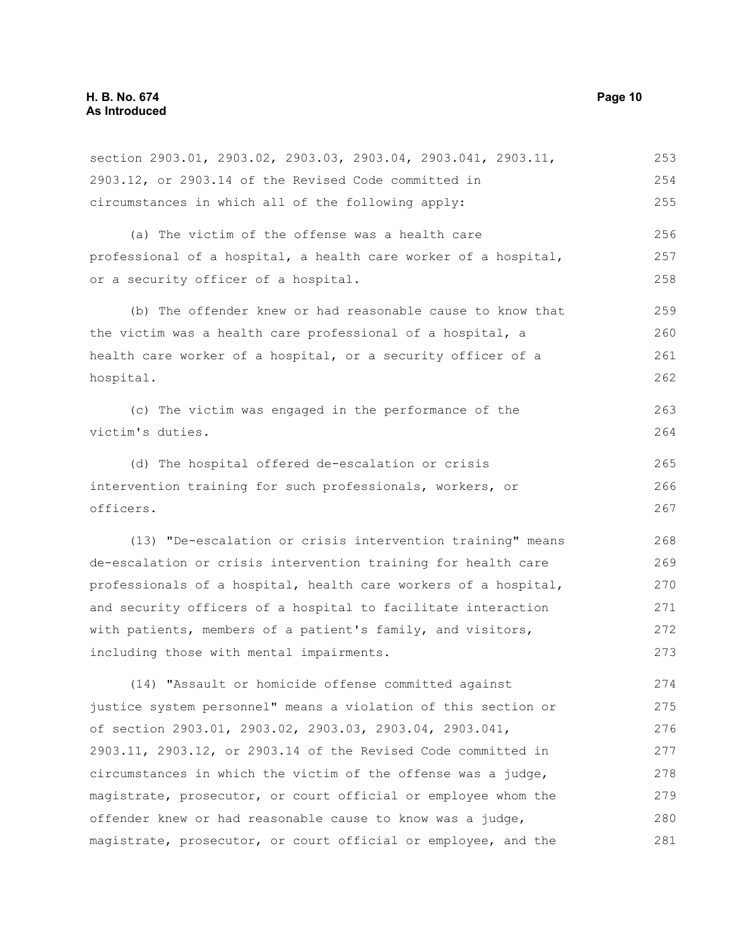section 2903.01, 2903.02, 2903.03, 2903.04, 2903.041, 2903.11, 2903.12, or 2903.14 of the Revised Code committed in circumstances in which all of the following apply: (a) The victim of the offense was a health care professional of a hospital, a health care worker of a hospital, or a security officer of a hospital. (b) The offender knew or had reasonable cause to know that the victim was a health care professional of a hospital, a health care worker of a hospital, or a security officer of a hospital. (c) The victim was engaged in the performance of the victim's duties. (d) The hospital offered de-escalation or crisis intervention training for such professionals, workers, or officers. (13) "De-escalation or crisis intervention training" means de-escalation or crisis intervention training for health care professionals of a hospital, health care workers of a hospital, and security officers of a hospital to facilitate interaction with patients, members of a patient's family, and visitors, including those with mental impairments. (14) "Assault or homicide offense committed against justice system personnel" means a violation of this section or of section 2903.01, 2903.02, 2903.03, 2903.04, 2903.041, 2903.11, 2903.12, or 2903.14 of the Revised Code committed in circumstances in which the victim of the offense was a judge, magistrate, prosecutor, or court official or employee whom the offender knew or had reasonable cause to know was a judge, magistrate, prosecutor, or court official or employee, and the 253 254 255 256 257 258 259 260 261 262 263 264 265 266 267 268 269 270 271 272 273 274 275 276 277 278 279 280 281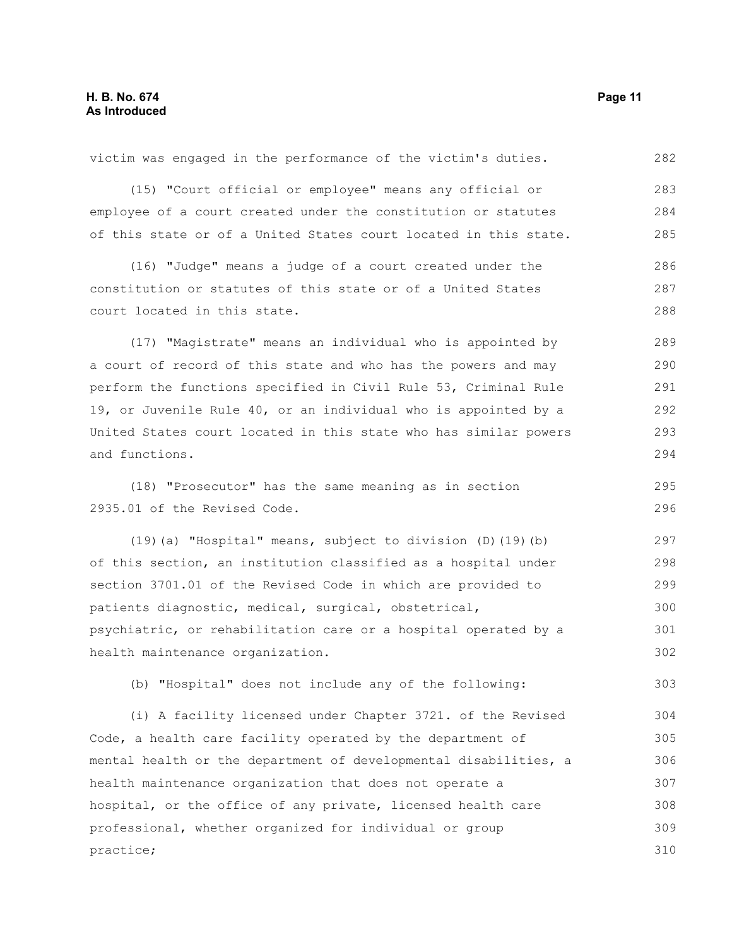practice;

(15) "Court official or employee" means any official or employee of a court created under the constitution or statutes of this state or of a United States court located in this state. (16) "Judge" means a judge of a court created under the constitution or statutes of this state or of a United States court located in this state. (17) "Magistrate" means an individual who is appointed by a court of record of this state and who has the powers and may perform the functions specified in Civil Rule 53, Criminal Rule 19, or Juvenile Rule 40, or an individual who is appointed by a United States court located in this state who has similar powers and functions. (18) "Prosecutor" has the same meaning as in section 2935.01 of the Revised Code. (19)(a) "Hospital" means, subject to division (D)(19)(b) of this section, an institution classified as a hospital under section 3701.01 of the Revised Code in which are provided to patients diagnostic, medical, surgical, obstetrical, psychiatric, or rehabilitation care or a hospital operated by a health maintenance organization. (b) "Hospital" does not include any of the following: (i) A facility licensed under Chapter 3721. of the Revised Code, a health care facility operated by the department of mental health or the department of developmental disabilities, a health maintenance organization that does not operate a hospital, or the office of any private, licensed health care 283 284 285 286 287 288 289 290 291 292 293 294 295 296 297 298 299 300 301 302 303 304 305 306 307 308

professional, whether organized for individual or group

victim was engaged in the performance of the victim's duties.

282

309 310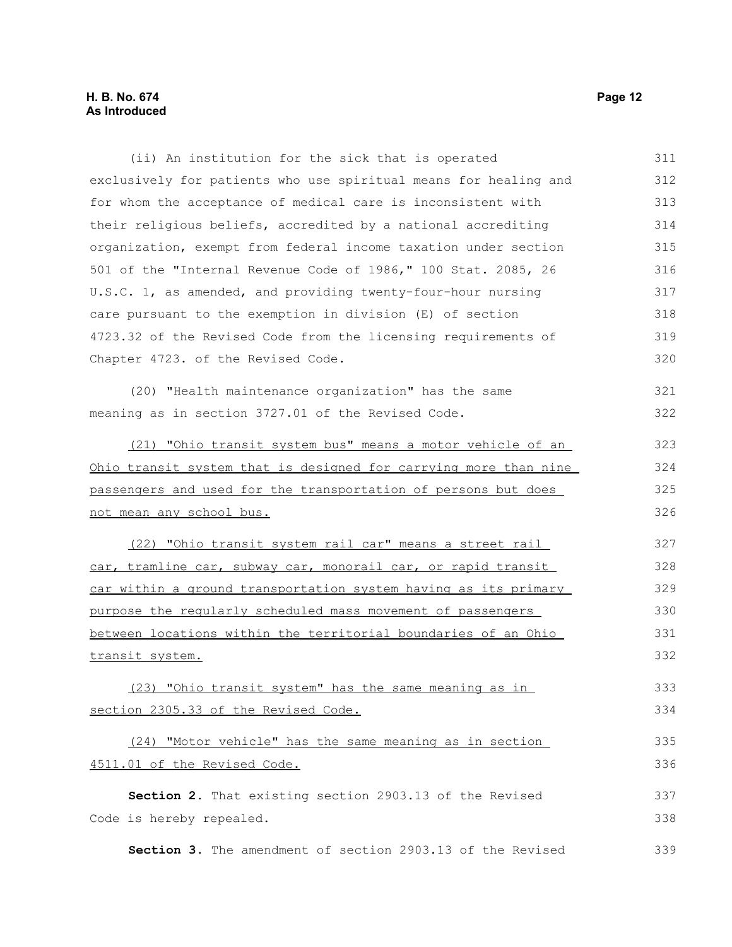### **H. B. No. 674 Page 12 As Introduced**

| (ii) An institution for the sick that is operated                       | 311 |
|-------------------------------------------------------------------------|-----|
| exclusively for patients who use spiritual means for healing and        | 312 |
| for whom the acceptance of medical care is inconsistent with            | 313 |
| their religious beliefs, accredited by a national accrediting           | 314 |
| organization, exempt from federal income taxation under section         | 315 |
| 501 of the "Internal Revenue Code of 1986," 100 Stat. 2085, 26          | 316 |
| U.S.C. 1, as amended, and providing twenty-four-hour nursing            | 317 |
| care pursuant to the exemption in division (E) of section               | 318 |
| 4723.32 of the Revised Code from the licensing requirements of          | 319 |
| Chapter 4723. of the Revised Code.                                      | 320 |
| (20) "Health maintenance organization" has the same                     | 321 |
| meaning as in section 3727.01 of the Revised Code.                      | 322 |
| (21) "Ohio transit system bus" means a motor vehicle of an              | 323 |
| <u>Ohio transit system that is designed for carrying more than nine</u> | 324 |
| passengers and used for the transportation of persons but does          | 325 |
| not mean any school bus.                                                | 326 |
| (22) "Ohio transit system rail car" means a street rail                 | 327 |
| car, tramline car, subway car, monorail car, or rapid transit           | 328 |
| car within a ground transportation system having as its primary         | 329 |
| purpose the reqularly scheduled mass movement of passengers             | 330 |
| between locations within the territorial boundaries of an Ohio          | 331 |
| transit system.                                                         | 332 |
| (23) "Ohio transit system" has the same meaning as in                   | 333 |
| section 2305.33 of the Revised Code.                                    | 334 |
| (24) "Motor vehicle" has the same meaning as in section                 | 335 |
| 4511.01 of the Revised Code.                                            | 336 |
| Section 2. That existing section 2903.13 of the Revised                 | 337 |
| Code is hereby repealed.                                                | 338 |
| Section 3. The amendment of section 2903.13 of the Revised              | 339 |